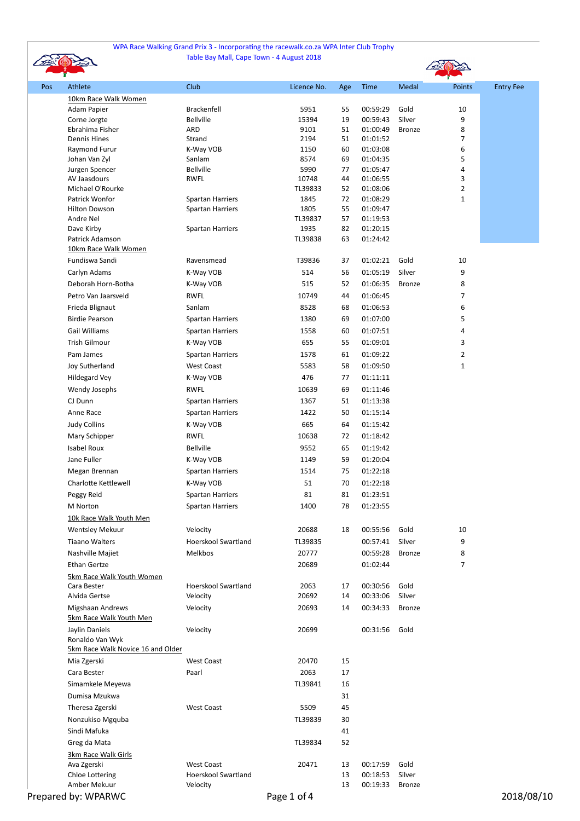## WPA Race Walking Grand Prix 3 - Incorporating the racewalk.co.za WPA Inter Club Trophy Table Bay Mall, Cape Town - 4 August 2018



|     |                                   |                                 |               |          |                             |               | $\mathbf{r}$   |                  |
|-----|-----------------------------------|---------------------------------|---------------|----------|-----------------------------|---------------|----------------|------------------|
| Pos | Athlete                           | Club                            | Licence No.   | Age      | Time                        | Medal         | Points         | <b>Entry Fee</b> |
|     | 10km Race Walk Women              |                                 |               |          |                             |               |                |                  |
|     | Adam Papier                       | Brackenfell                     | 5951          | 55       | 00:59:29                    | Gold          | 10             |                  |
|     | Corne Jorgte                      | Bellville                       | 15394         | 19       | 00:59:43                    | Silver        | 9              |                  |
|     | Ebrahima Fisher                   | ARD                             | 9101          | 51       | 01:00:49                    | <b>Bronze</b> | 8              |                  |
|     | <b>Dennis Hines</b>               | Strand                          | 2194          | 51       | 01:01:52                    |               | 7              |                  |
|     | Raymond Furur                     | K-Way VOB                       | 1150          | 60       | 01:03:08                    |               | 6              |                  |
|     | Johan Van Zyl                     | Sanlam                          | 8574          | 69       | 01:04:35                    |               | 5              |                  |
|     | Jurgen Spencer<br>AV Jaasdours    | <b>Bellville</b><br><b>RWFL</b> | 5990<br>10748 | 77<br>44 | 01:05:47<br>01:06:55        |               | 4<br>3         |                  |
|     | Michael O'Rourke                  |                                 | TL39833       | 52       | 01:08:06                    |               | $\overline{2}$ |                  |
|     | Patrick Wonfor                    | <b>Spartan Harriers</b>         | 1845          | 72       | 01:08:29                    |               | 1              |                  |
|     | <b>Hilton Dowson</b>              | <b>Spartan Harriers</b>         | 1805          | 55       | 01:09:47                    |               |                |                  |
|     | Andre Nel                         |                                 | TL39837       | 57       | 01:19:53                    |               |                |                  |
|     | Dave Kirby                        | <b>Spartan Harriers</b>         | 1935          | 82       | 01:20:15                    |               |                |                  |
|     | Patrick Adamson                   |                                 | TL39838       | 63       | 01:24:42                    |               |                |                  |
|     | 10km Race Walk Women              |                                 |               |          |                             |               |                |                  |
|     | Fundiswa Sandi                    | Ravensmead                      | T39836        | 37       | 01:02:21                    | Gold          | $10\,$         |                  |
|     | Carlyn Adams                      | K-Way VOB                       | 514           | 56       | 01:05:19                    | Silver        | 9              |                  |
|     | Deborah Horn-Botha                | K-Way VOB                       | 515           | 52       | 01:06:35                    | Bronze        | 8              |                  |
|     | Petro Van Jaarsveld               | <b>RWFL</b>                     | 10749         | 44       | 01:06:45                    |               | 7              |                  |
|     |                                   |                                 |               |          |                             |               |                |                  |
|     | Frieda Blignaut                   | Sanlam                          | 8528          | 68       | 01:06:53                    |               | 6              |                  |
|     | <b>Birdie Pearson</b>             | <b>Spartan Harriers</b>         | 1380          | 69       | 01:07:00                    |               | 5              |                  |
|     | <b>Gail Williams</b>              | <b>Spartan Harriers</b>         | 1558          | 60       | 01:07:51                    |               | 4              |                  |
|     | <b>Trish Gilmour</b>              | K-Way VOB                       | 655           | 55       | 01:09:01                    |               | 3              |                  |
|     | Pam James                         | <b>Spartan Harriers</b>         | 1578          | 61       | 01:09:22                    |               | $\overline{2}$ |                  |
|     | Joy Sutherland                    | <b>West Coast</b>               | 5583          | 58       | 01:09:50                    |               | 1              |                  |
|     | Hildegard Vey                     | K-Way VOB                       | 476           | 77       | 01:11:11                    |               |                |                  |
|     | Wendy Josephs                     | <b>RWFL</b>                     | 10639         | 69       | 01:11:46                    |               |                |                  |
|     | CJ Dunn                           | <b>Spartan Harriers</b>         | 1367          | 51       | 01:13:38                    |               |                |                  |
|     | Anne Race                         |                                 |               |          |                             |               |                |                  |
|     |                                   | <b>Spartan Harriers</b>         | 1422          | 50       | 01:15:14                    |               |                |                  |
|     | <b>Judy Collins</b>               | K-Way VOB                       | 665           | 64       | 01:15:42                    |               |                |                  |
|     | Mary Schipper                     | RWFL                            | 10638         | 72       | 01:18:42                    |               |                |                  |
|     | Isabel Roux                       | <b>Bellville</b>                | 9552          | 65       | 01:19:42                    |               |                |                  |
|     | Jane Fuller                       | K-Way VOB                       | 1149          | 59       | 01:20:04                    |               |                |                  |
|     | Megan Brennan                     | <b>Spartan Harriers</b>         | 1514          | 75       | 01:22:18                    |               |                |                  |
|     | Charlotte Kettlewell              | K-Way VOB                       | 51            | 70       | 01:22:18                    |               |                |                  |
|     | Peggy Reid                        | <b>Spartan Harriers</b>         | 81            | 81       | 01:23:51                    |               |                |                  |
|     | M Norton                          | <b>Spartan Harriers</b>         | 1400          | 78       | 01:23:55                    |               |                |                  |
|     | 10k Race Walk Youth Men           |                                 |               |          |                             |               |                |                  |
|     | <b>Wentsley Mekuur</b>            | Velocity                        | 20688         | 18       | 00:55:56                    | Gold          | 10             |                  |
|     |                                   |                                 |               |          |                             |               |                |                  |
|     | <b>Tiaano Walters</b>             | <b>Hoerskool Swartland</b>      | TL39835       |          | 00:57:41                    | Silver        | 9              |                  |
|     | Nashville Majiet                  | Melkbos                         | 20777         |          | 00:59:28                    | <b>Bronze</b> | 8              |                  |
|     | <b>Ethan Gertze</b>               |                                 | 20689         |          | 01:02:44                    |               | 7              |                  |
|     | 5km Race Walk Youth Women         |                                 |               |          |                             |               |                |                  |
|     | Cara Bester                       | <b>Hoerskool Swartland</b>      | 2063          | 17       | 00:30:56                    | Gold          |                |                  |
|     | Alvida Gertse                     | Velocity                        | 20692         | 14       | 00:33:06                    | Silver        |                |                  |
|     | Migshaan Andrews                  | Velocity                        | 20693         | 14       | 00:34:33                    | <b>Bronze</b> |                |                  |
|     | 5km Race Walk Youth Men           |                                 |               |          |                             |               |                |                  |
|     | Jaylin Daniels                    | Velocity                        | 20699         |          | 00:31:56                    | Gold          |                |                  |
|     | Ronaldo Van Wyk                   |                                 |               |          |                             |               |                |                  |
|     | 5km Race Walk Novice 16 and Older |                                 |               |          |                             |               |                |                  |
|     | Mia Zgerski                       | <b>West Coast</b>               | 20470         | 15       |                             |               |                |                  |
|     | Cara Bester                       | Paarl                           | 2063          | 17       |                             |               |                |                  |
|     | Simamkele Meyewa                  |                                 | TL39841       | 16       |                             |               |                |                  |
|     | Dumisa Mzukwa                     |                                 |               | 31       |                             |               |                |                  |
|     | Theresa Zgerski                   | <b>West Coast</b>               | 5509          | 45       |                             |               |                |                  |
|     | Nonzukiso Mgquba                  |                                 | TL39839       | 30       |                             |               |                |                  |
|     | Sindi Mafuka                      |                                 |               | 41       |                             |               |                |                  |
|     |                                   |                                 | TL39834       | 52       |                             |               |                |                  |
|     | Greg da Mata                      |                                 |               |          |                             |               |                |                  |
|     |                                   |                                 |               |          |                             |               |                |                  |
|     | 3km Race Walk Girls               |                                 |               |          |                             |               |                |                  |
|     | Ava Zgerski                       | <b>West Coast</b>               | 20471         | 13       | 00:17:59                    | Gold          |                |                  |
|     | Chloe Lottering<br>Amber Mekuur   | Hoerskool Swartland<br>Velocity |               | 13<br>13 | 00:18:53<br>00:19:33 Bronze | Silver        |                |                  |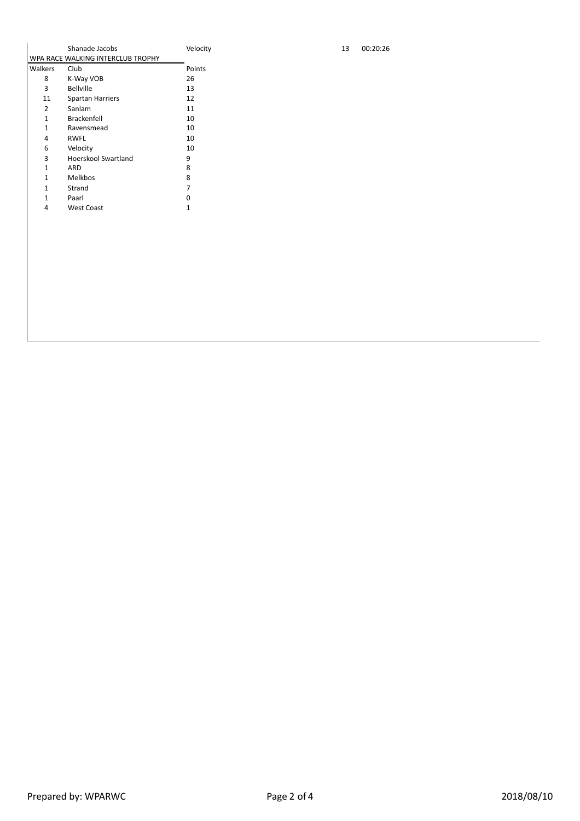|              | Shanade Jacobs                    | Velocit |  |  |  |  |
|--------------|-----------------------------------|---------|--|--|--|--|
|              | WPA RACE WALKING INTERCLUB TROPHY |         |  |  |  |  |
| Walkers      | Club                              | Points  |  |  |  |  |
| 8            | K-Way VOB                         | 26      |  |  |  |  |
| 3            | <b>Bellville</b>                  | 13      |  |  |  |  |
| 11           | <b>Spartan Harriers</b>           | 12      |  |  |  |  |
| 2            | Sanlam                            | 11      |  |  |  |  |
| $\mathbf{1}$ | <b>Brackenfell</b>                | 10      |  |  |  |  |
| $\mathbf{1}$ | Ravensmead                        | 10      |  |  |  |  |
| 4            | RWFL                              | 10      |  |  |  |  |
| 6            | Velocity                          | 10      |  |  |  |  |
| 3            | Hoerskool Swartland               | 9       |  |  |  |  |
| 1            | ARD                               | 8       |  |  |  |  |
| 1            | Melkbos                           | 8       |  |  |  |  |
| 1            | Strand                            | 7       |  |  |  |  |
| 1            | Paarl                             | ŋ       |  |  |  |  |
| 4            | <b>West Coast</b>                 | 1       |  |  |  |  |
|              |                                   |         |  |  |  |  |

 $\frac{13}{13}$  00:20:26